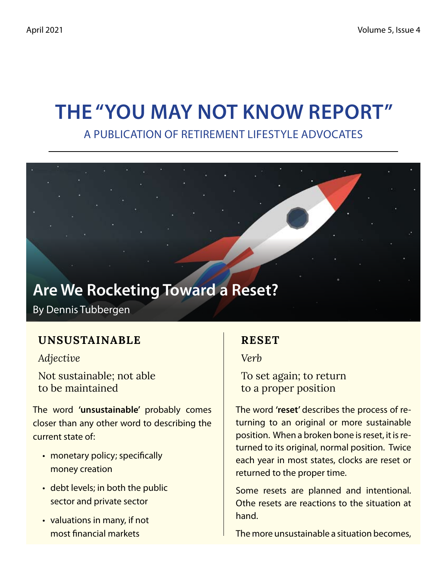## **The "You May Not Know Report"** A Publication of Retirement Lifestyle Advocates

# **Are We Rocketing Toward a Reset?**

By Dennis Tubbergen

### **UNSUSTAINABLE**

*Adjective*

Not sustainable; not able to be maintained

The word **'unsustainable'** probably comes closer than any other word to describing the current state of:

- monetary policy; specifically money creation
- debt levels; in both the public sector and private sector
- valuations in many, if not most financial markets

### **RESET**

*Verb*

To set again; to return to a proper position

The word **'reset'** describes the process of returning to an original or more sustainable position. When a broken bone is reset, it is returned to its original, normal position. Twice each year in most states, clocks are reset or returned to the proper time.

Some resets are planned and intentional. Othe resets are reactions to the situation at hand.

The more unsustainable a situation becomes,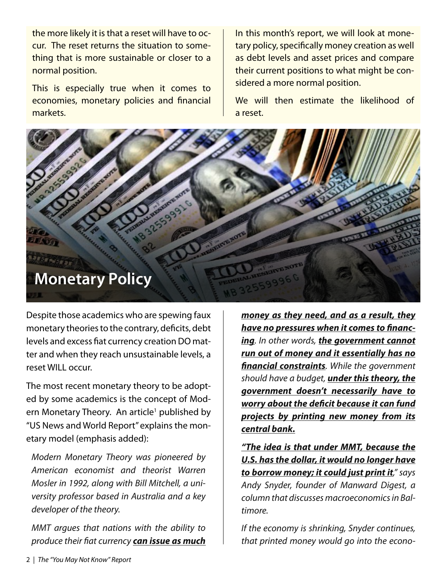the more likely it is that a reset will have to occur. The reset returns the situation to something that is more sustainable or closer to a normal position.

This is especially true when it comes to economies, monetary policies and financial markets.

In this month's report, we will look at monetary policy, specifically money creation as well as debt levels and asset prices and compare their current positions to what might be considered a more normal position.

We will then estimate the likelihood of a reset.



Despite those academics who are spewing faux monetary theories to the contrary, deficits, debt levels and excess fiat currency creation DO matter and when they reach unsustainable levels, a reset WILL occur.

The most recent monetary theory to be adopted by some academics is the concept of Modern Monetary Theory. An article<sup>1</sup> published by "US News and World Report" explains the monetary model (emphasis added):

*Modern Monetary Theory was pioneered by American economist and theorist Warren Mosler in 1992, along with Bill Mitchell, a university professor based in Australia and a key developer of the theory.*

*MMT argues that nations with the ability to produce their fiat currency can issue as much* *money as they need, and as a result, they have no pressures when it comes to financing. In other words, the government cannot run out of money and it essentially has no financial constraints. While the government should have a budget, under this theory, the government doesn't necessarily have to worry about the deficit because it can fund projects by printing new money from its central bank.*

*"The idea is that under MMT, because the U.S. has the dollar, it would no longer have to borrow money; it could just print it," says Andy Snyder, founder of Manward Digest, a column that discusses macroeconomics in Baltimore.*

*If the economy is shrinking, Snyder continues, that printed money would go into the econo-*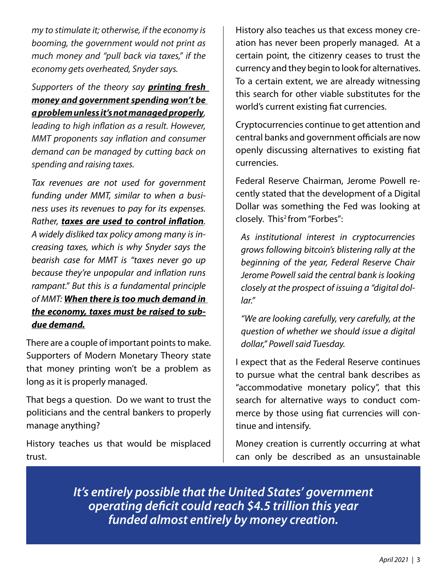*my to stimulate it; otherwise, if the economy is booming, the government would not print as much money and "pull back via taxes," if the economy gets overheated, Snyder says.*

#### *Supporters of the theory say printing fresh money and government spending won't be a problem unless it's not managed properly,*

*leading to high inflation as a result. However, MMT proponents say inflation and consumer demand can be managed by cutting back on spending and raising taxes.*

*Tax revenues are not used for government funding under MMT, similar to when a business uses its revenues to pay for its expenses. Rather, taxes are used to control inflation. A widely disliked tax policy among many is increasing taxes, which is why Snyder says the bearish case for MMT is "taxes never go up because they're unpopular and inflation runs rampant." But this is a fundamental principle of MMT: When there is too much demand in the economy, taxes must be raised to subdue demand.*

There are a couple of important points to make. Supporters of Modern Monetary Theory state that money printing won't be a problem as long as it is properly managed.

That begs a question. Do we want to trust the politicians and the central bankers to properly manage anything?

History teaches us that would be misplaced trust.

History also teaches us that excess money creation has never been properly managed. At a certain point, the citizenry ceases to trust the currency and they begin to look for alternatives. To a certain extent, we are already witnessing this search for other viable substitutes for the world's current existing fiat currencies.

Cryptocurrencies continue to get attention and central banks and government officials are now openly discussing alternatives to existing fiat currencies.

Federal Reserve Chairman, Jerome Powell recently stated that the development of a Digital Dollar was something the Fed was looking at closely. This<sup>2</sup> from "Forbes":

*As institutional interest in cryptocurrencies grows following bitcoin's blistering rally at the beginning of the year, Federal Reserve Chair Jerome Powell said the central bank is looking closely at the prospect of issuing a "digital dollar."*

*"We are looking carefully, very carefully, at the question of whether we should issue a digital dollar," Powell said Tuesday.*

I expect that as the Federal Reserve continues to pursue what the central bank describes as "accommodative monetary policy", that this search for alternative ways to conduct commerce by those using fiat currencies will continue and intensify.

Money creation is currently occurring at what can only be described as an unsustainable

*It's entirely possible that the United States' government operating deficit could reach \$4.5 trillion this year funded almost entirely by money creation.*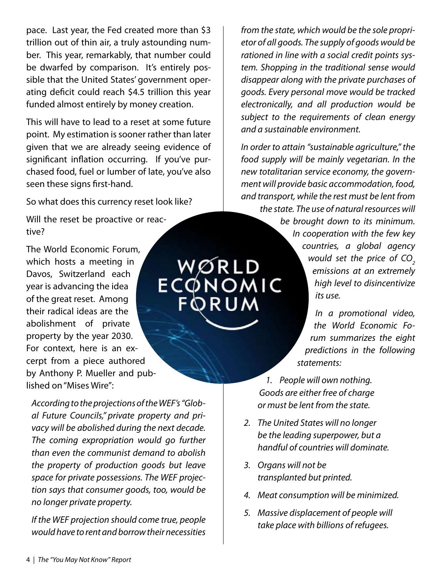pace. Last year, the Fed created more than \$3 trillion out of thin air, a truly astounding number. This year, remarkably, that number could be dwarfed by comparison. It's entirely possible that the United States' government operating deficit could reach \$4.5 trillion this year funded almost entirely by money creation.

This will have to lead to a reset at some future point. My estimation is sooner rather than later given that we are already seeing evidence of significant inflation occurring. If you've purchased food, fuel or lumber of late, you've also seen these signs first-hand.

So what does this currency reset look like?

Will the reset be proactive or reactive?

The World Economic Forum, which hosts a meeting in Davos, Switzerland each year is advancing the idea of the great reset. Among their radical ideas are the abolishment of private property by the year 2030. For context, here is an excerpt from a piece authored by Anthony P. Mueller and published on "Mises Wire":

*According to the projections of the WEF's "Global Future Councils," private property and privacy will be abolished during the next decade. The coming expropriation would go further than even the communist demand to abolish the property of production goods but leave space for private possessions. The WEF projection says that consumer goods, too, would be no longer private property.*

*If the WEF projection should come true, people would have to rent and borrow their necessities*  *from the state, which would be the sole proprietor of all goods. The supply of goods would be rationed in line with a social credit points system. Shopping in the traditional sense would disappear along with the private purchases of goods. Every personal move would be tracked electronically, and all production would be subject to the requirements of clean energy and a sustainable environment.*

*In order to attain "sustainable agriculture," the food supply will be mainly vegetarian. In the new totalitarian service economy, the government will provide basic accommodation, food, and transport, while the rest must be lent from the state. The use of natural resources will* 

*be brought down to its minimum. In cooperation with the few key countries, a global agency would set the price of CO<sub>2</sub>* **WØRLD<br>ECQNOMIC** *emissions at an extremely high level to disincentivize its use.*

> *In a promotional video, the World Economic Forum summarizes the eight predictions in the following statements:*

- *People will own nothing. 1. Goods are either free of charge or must be lent from the state.*
- *The United States will no longer 2. be the leading superpower, but a handful of countries will dominate.*
- *Organs will not be 3. transplanted but printed.*
- *Meat consumption will be minimized. 4.*
- *Massive displacement of people will 5. take place with billions of refugees.*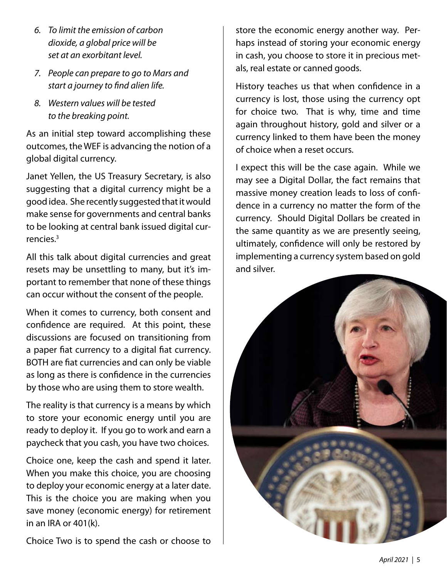- *To limit the emission of carbon 6. dioxide, a global price will be set at an exorbitant level.*
- *People can prepare to go to Mars and 7. start a journey to find alien life.*
- *Western values will be tested 8.to the breaking point.*

As an initial step toward accomplishing these outcomes, the WEF is advancing the notion of a global digital currency.

Janet Yellen, the US Treasury Secretary, is also suggesting that a digital currency might be a good idea. She recently suggested that it would make sense for governments and central banks to be looking at central bank issued digital currencies.3

All this talk about digital currencies and great resets may be unsettling to many, but it's important to remember that none of these things can occur without the consent of the people.

When it comes to currency, both consent and confidence are required. At this point, these discussions are focused on transitioning from a paper fiat currency to a digital fiat currency. BOTH are fiat currencies and can only be viable as long as there is confidence in the currencies by those who are using them to store wealth.

The reality is that currency is a means by which to store your economic energy until you are ready to deploy it. If you go to work and earn a paycheck that you cash, you have two choices.

Choice one, keep the cash and spend it later. When you make this choice, you are choosing to deploy your economic energy at a later date. This is the choice you are making when you save money (economic energy) for retirement in an IRA or 401(k).

Choice Two is to spend the cash or choose to

store the economic energy another way. Perhaps instead of storing your economic energy in cash, you choose to store it in precious metals, real estate or canned goods.

History teaches us that when confidence in a currency is lost, those using the currency opt for choice two. That is why, time and time again throughout history, gold and silver or a currency linked to them have been the money of choice when a reset occurs.

I expect this will be the case again. While we may see a Digital Dollar, the fact remains that massive money creation leads to loss of confidence in a currency no matter the form of the currency. Should Digital Dollars be created in the same quantity as we are presently seeing, ultimately, confidence will only be restored by implementing a currency system based on gold and silver.

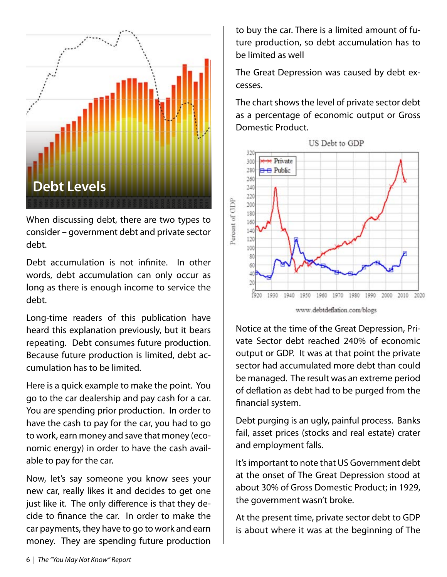

When discussing debt, there are two types to consider – government debt and private sector debt.

Debt accumulation is not infinite. In other words, debt accumulation can only occur as long as there is enough income to service the debt.

Long-time readers of this publication have heard this explanation previously, but it bears repeating. Debt consumes future production. Because future production is limited, debt accumulation has to be limited.

Here is a quick example to make the point. You go to the car dealership and pay cash for a car. You are spending prior production. In order to have the cash to pay for the car, you had to go to work, earn money and save that money (economic energy) in order to have the cash available to pay for the car.

Now, let's say someone you know sees your new car, really likes it and decides to get one just like it. The only difference is that they decide to finance the car. In order to make the car payments, they have to go to work and earn money. They are spending future production to buy the car. There is a limited amount of future production, so debt accumulation has to be limited as well

The Great Depression was caused by debt excesses.

The chart shows the level of private sector debt as a percentage of economic output or Gross Domestic Product.



www.debtdeflation.com/blogs

Notice at the time of the Great Depression, Private Sector debt reached 240% of economic output or GDP. It was at that point the private sector had accumulated more debt than could be managed. The result was an extreme period of deflation as debt had to be purged from the financial system.

Debt purging is an ugly, painful process. Banks fail, asset prices (stocks and real estate) crater and employment falls.

It's important to note that US Government debt at the onset of The Great Depression stood at about 30% of Gross Domestic Product; in 1929, the government wasn't broke.

At the present time, private sector debt to GDP is about where it was at the beginning of The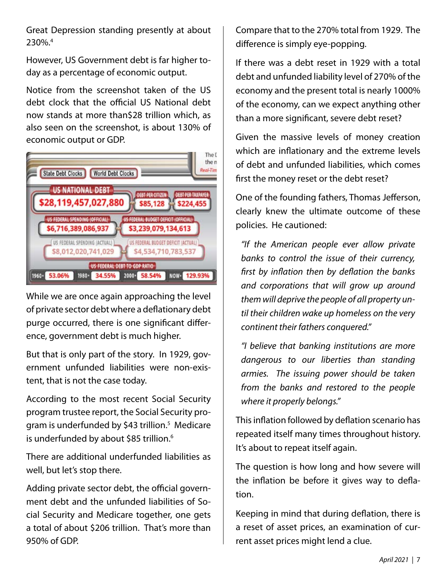Great Depression standing presently at about 230%.4

However, US Government debt is far higher today as a percentage of economic output.

Notice from the screenshot taken of the US debt clock that the official US National debt now stands at more than\$28 trillion which, as also seen on the screenshot, is about 130% of economic output or GDP.



While we are once again approaching the level of private sector debt where a deflationary debt purge occurred, there is one significant difference, government debt is much higher.

But that is only part of the story. In 1929, government unfunded liabilities were non-existent, that is not the case today.

According to the most recent Social Security program trustee report, the Social Security program is underfunded by \$43 trillion.<sup>5</sup> Medicare is underfunded by about \$85 trillion.<sup>6</sup>

There are additional underfunded liabilities as well, but let's stop there.

Adding private sector debt, the official government debt and the unfunded liabilities of Social Security and Medicare together, one gets a total of about \$206 trillion. That's more than 950% of GDP.

Compare that to the 270% total from 1929. The difference is simply eye-popping.

If there was a debt reset in 1929 with a total debt and unfunded liability level of 270% of the economy and the present total is nearly 1000% of the economy, can we expect anything other than a more significant, severe debt reset?

Given the massive levels of money creation which are inflationary and the extreme levels of debt and unfunded liabilities, which comes first the money reset or the debt reset?

One of the founding fathers, Thomas Jefferson, clearly knew the ultimate outcome of these policies. He cautioned:

*"If the American people ever allow private banks to control the issue of their currency, first by inflation then by deflation the banks and corporations that will grow up around them will deprive the people of all property until their children wake up homeless on the very continent their fathers conquered."*

*"I believe that banking institutions are more dangerous to our liberties than standing armies. The issuing power should be taken from the banks and restored to the people where it properly belongs."*

This inflation followed by deflation scenario has repeated itself many times throughout history. It's about to repeat itself again.

The question is how long and how severe will the inflation be before it gives way to deflation.

Keeping in mind that during deflation, there is a reset of asset prices, an examination of current asset prices might lend a clue.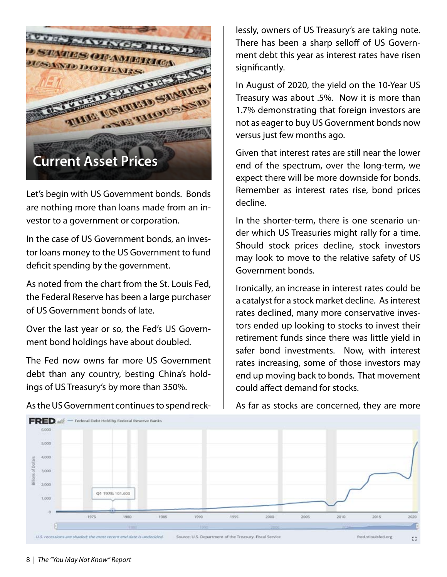

Let's begin with US Government bonds. Bonds are nothing more than loans made from an investor to a government or corporation.

In the case of US Government bonds, an investor loans money to the US Government to fund deficit spending by the government.

As noted from the chart from the St. Louis Fed, the Federal Reserve has been a large purchaser of US Government bonds of late.

Over the last year or so, the Fed's US Government bond holdings have about doubled.

The Fed now owns far more US Government debt than any country, besting China's holdings of US Treasury's by more than 350%.

lessly, owners of US Treasury's are taking note. There has been a sharp selloff of US Government debt this year as interest rates have risen significantly.

In August of 2020, the yield on the 10-Year US Treasury was about .5%. Now it is more than 1.7% demonstrating that foreign investors are not as eager to buy US Government bonds now versus just few months ago.

Given that interest rates are still near the lower end of the spectrum, over the long-term, we expect there will be more downside for bonds. Remember as interest rates rise, bond prices decline.

In the shorter-term, there is one scenario under which US Treasuries might rally for a time. Should stock prices decline, stock investors may look to move to the relative safety of US Government bonds.

Ironically, an increase in interest rates could be a catalyst for a stock market decline. As interest rates declined, many more conservative investors ended up looking to stocks to invest their retirement funds since there was little yield in safer bond investments. Now, with interest rates increasing, some of those investors may end up moving back to bonds. That movement could affect demand for stocks.

As far as stocks are concerned, they are more



As the US Government continues to spend reck-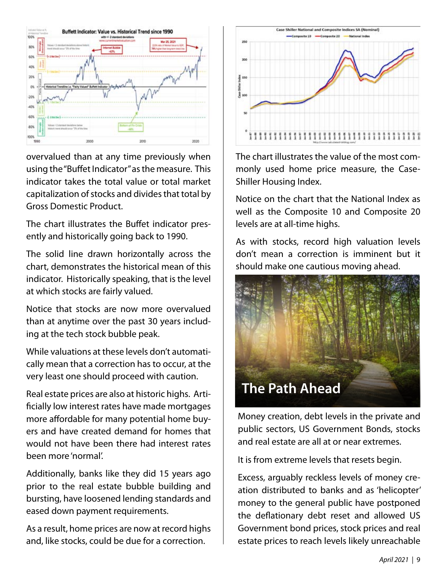

overvalued than at any time previously when using the "Buffet Indicator" as the measure. This indicator takes the total value or total market capitalization of stocks and divides that total by Gross Domestic Product.

The chart illustrates the Buffet indicator presently and historically going back to 1990.

The solid line drawn horizontally across the chart, demonstrates the historical mean of this indicator. Historically speaking, that is the level at which stocks are fairly valued.

Notice that stocks are now more overvalued than at anytime over the past 30 years including at the tech stock bubble peak.

While valuations at these levels don't automatically mean that a correction has to occur, at the very least one should proceed with caution.

Real estate prices are also at historic highs. Artificially low interest rates have made mortgages more affordable for many potential home buyers and have created demand for homes that would not have been there had interest rates been more 'normal'.

Additionally, banks like they did 15 years ago prior to the real estate bubble building and bursting, have loosened lending standards and eased down payment requirements.

As a result, home prices are now at record highs and, like stocks, could be due for a correction.



The chart illustrates the value of the most commonly used home price measure, the Case-Shiller Housing Index.

Notice on the chart that the National Index as well as the Composite 10 and Composite 20 levels are at all-time highs.

As with stocks, record high valuation levels don't mean a correction is imminent but it should make one cautious moving ahead.



Money creation, debt levels in the private and public sectors, US Government Bonds, stocks and real estate are all at or near extremes.

It is from extreme levels that resets begin.

Excess, arguably reckless levels of money creation distributed to banks and as 'helicopter' money to the general public have postponed the deflationary debt reset and allowed US Government bond prices, stock prices and real estate prices to reach levels likely unreachable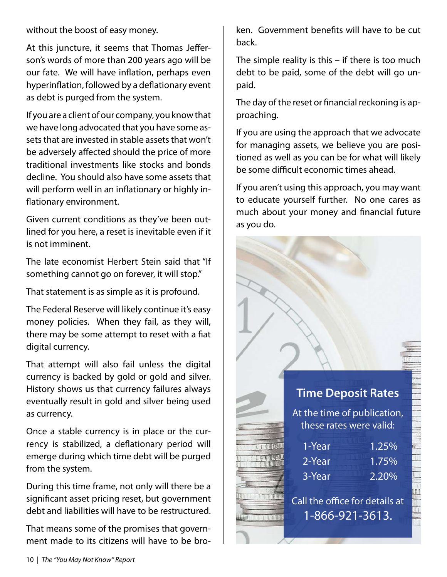without the boost of easy money.

At this juncture, it seems that Thomas Jefferson's words of more than 200 years ago will be our fate. We will have inflation, perhaps even hyperinflation, followed by a deflationary event as debt is purged from the system.

If you are a client of our company, you know that we have long advocated that you have some assets that are invested in stable assets that won't be adversely affected should the price of more traditional investments like stocks and bonds decline. You should also have some assets that will perform well in an inflationary or highly inflationary environment.

Given current conditions as they've been outlined for you here, a reset is inevitable even if it is not imminent.

The late economist Herbert Stein said that "If something cannot go on forever, it will stop."

That statement is as simple as it is profound.

The Federal Reserve will likely continue it's easy money policies. When they fail, as they will, there may be some attempt to reset with a fiat digital currency.

That attempt will also fail unless the digital currency is backed by gold or gold and silver. History shows us that currency failures always eventually result in gold and silver being used as currency.

Once a stable currency is in place or the currency is stabilized, a deflationary period will emerge during which time debt will be purged from the system.

During this time frame, not only will there be a significant asset pricing reset, but government debt and liabilities will have to be restructured.

That means some of the promises that government made to its citizens will have to be broken. Government benefits will have to be cut back.

The simple reality is this – if there is too much debt to be paid, some of the debt will go unpaid.

The day of the reset or financial reckoning is approaching.

If you are using the approach that we advocate for managing assets, we believe you are positioned as well as you can be for what will likely be some difficult economic times ahead.

If you aren't using this approach, you may want to educate yourself further. No one cares as much about your money and financial future as you do.

### **Time Deposit Rates**

At the time of publication, these rates were valid:

| 1-Year | $1.25\%$ |
|--------|----------|
| 2-Year | 1.75%    |
| 3-Year | 2.20%    |
|        |          |

Call the office for details at 1-866-921-3613.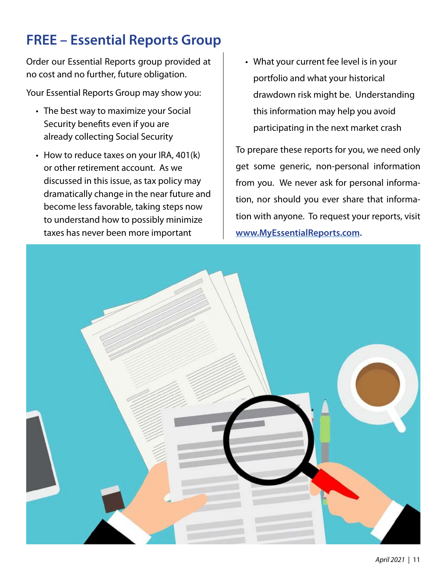## **FREE – Essential Reports Group**

Order our Essential Reports group provided at no cost and no further, future obligation.

Your Essential Reports Group may show you:

- The best way to maximize your Social Security benefits even if you are already collecting Social Security
- How to reduce taxes on your IRA, 401(k) or other retirement account. As we discussed in this issue, as tax policy may dramatically change in the near future and become less favorable, taking steps now to understand how to possibly minimize taxes has never been more important
- What your current fee level is in your •portfolio and what your historical drawdown risk might be. Understanding this information may help you avoid participating in the next market crash

To prepare these reports for you, we need only get some generic, non-personal information from you. We never ask for personal information, nor should you ever share that information with anyone. To request your reports, visit **www.MyEssentialReports.com.**